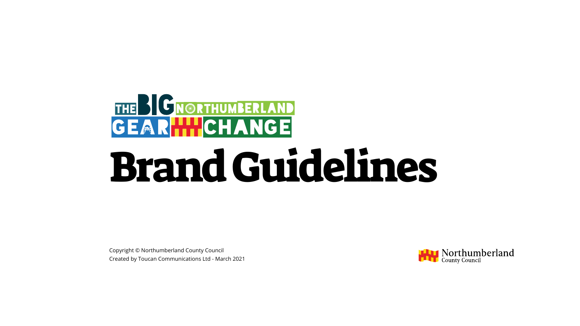# THE CONGRITHUMBERLAND Brand Guidelines

Copyright © Northumberland County Council Created by Toucan Communications Ltd - March 2021

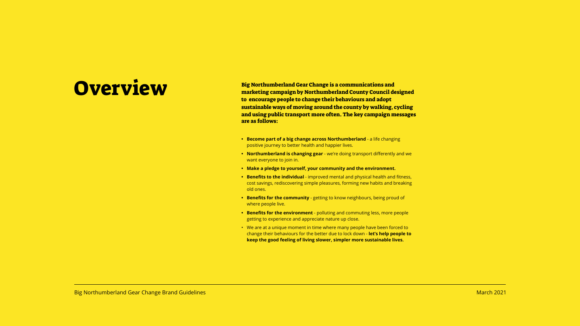**OVEIVIEW** Big Northumberland Gear Change is a communications and<br>marketing campaign by Northumberland County Council de marketing campaign by Northumberland County Council designed to encourage people to change their behaviours and adopt sustainable ways of moving around the county by walking, cycling and using public transport more often. The key campaign messages are as follows:

- 
- 
- 
- old ones.
- where people live.
- 
- 

Big Northumberland Gear Change Brand Guidelines March 2021

**• Become part of a big change across Northumberland** - a life changing positive journey to better health and happier lives.

**• Northumberland is changing gear** - we're doing transport differently and we want everyone to join in.

**• Make a pledge to yourself, your community and the environment.** 

**• Benefits to the individual** - improved mental and physical health and fitness, cost savings, rediscovering simple pleasures, forming new habits and breaking

**• Benefits for the community** - getting to know neighbours, being proud of

**• Benefits for the environment** - polluting and commuting less, more people getting to experience and appreciate nature up close.

• We are at a unique moment in time where many people have been forced to change their behaviours for the better due to lock down - **let's help people to keep the good feeling of living slower, simpler more sustainable lives.**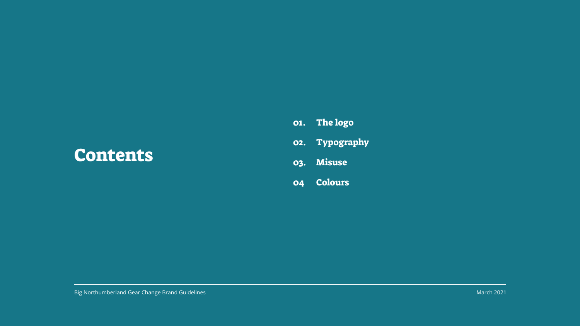- The logo 01.
- Typography 02.
- Misuse 03.
- 04 Colours



Big Northumberland Gear Change Brand Guidelines March 2021 and Suite Annual Communication of the March 2021 and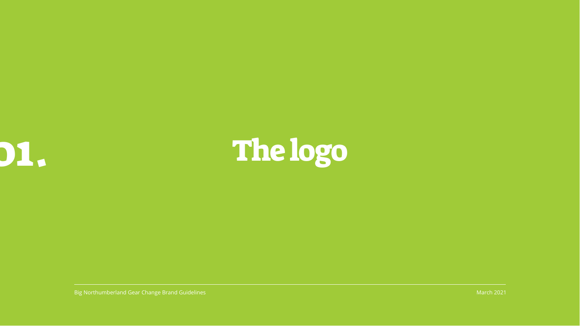



Big Northumberland Gear Change Brand Guidelines March 2021 and Suite Assembly 2001 and Suite Assembly 2021 and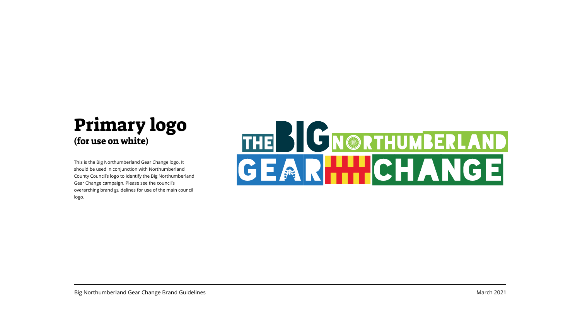### Primary logo (for use on white)

This is the Big Northumberland Gear Change logo. It should be used in conjunction with Northumberland County Council's logo to identify the Big Northumberland Gear Change campaign. Please see the council's overarching brand guidelines for use of the main council logo.

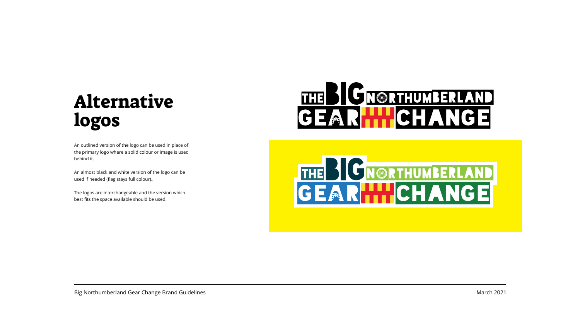## Alternative logos

An outlined version of the logo can be used in place of the primary logo where a solid colour or image is used behind it.

An almost black and white version of the logo can be used if needed (flag stays full colour)..

The logos are interchangeable and the version which best fits the space available should be used.

Big Northumberland Gear Change Brand Guidelines March 2021

## THE BIGN@RTHUMBERLAND GEAR HILLELANGE

## THE SCHORTHUMBERLAND GEARHHCHANGE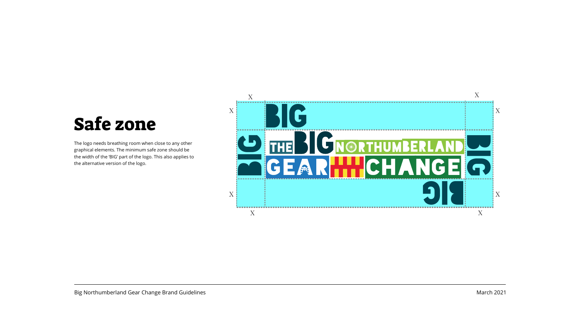### Safe zone

The logo needs breathing room when close to any other graphical elements. The minimum safe zone should be the width of the 'BIG' part of the logo. This also applies to the alternative version of the logo.

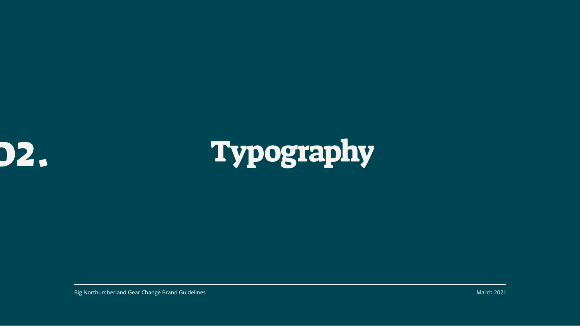

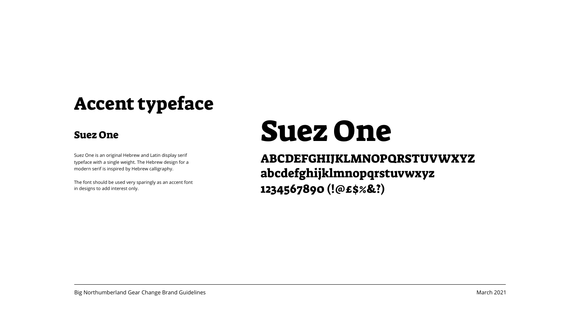## Accent typeface

### Suez One

Suez One is an original Hebrew and Latin display serif typeface with a single weight. The Hebrew design for a modern serif is inspired by Hebrew calligraphy.

The font should be used very sparingly as an accent font in designs to add interest only.

Big Northumberland Gear Change Brand Guidelines March 2021

## Suez One

### ABCDEFGHIJKLMNOPQRSTUVWXYZ abcdefghijklmnopqrstuvwxyz 1234567890 (!@£\$%&?)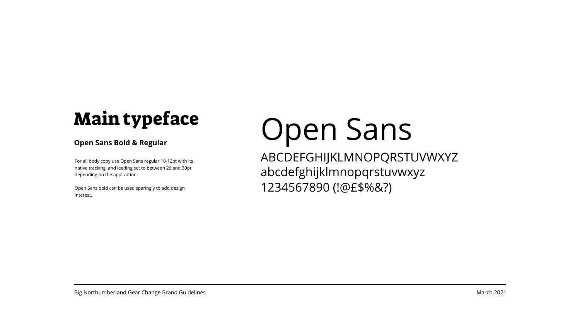## Open Sans

### ABCDEFGHIJKLMNOPQRSTUVWXYZ abcdefghijklmnopqrstuvwxyz 1234567890 (!@£\$%&?)

## Main typeface

### **Open Sans Bold & Regular**

For all body copy use Open Sans regular 10-12pt with its native tracking, and leading set to between 26 and 30pt depending on the application.

Open Sans bold can be used sparingly to add design interest.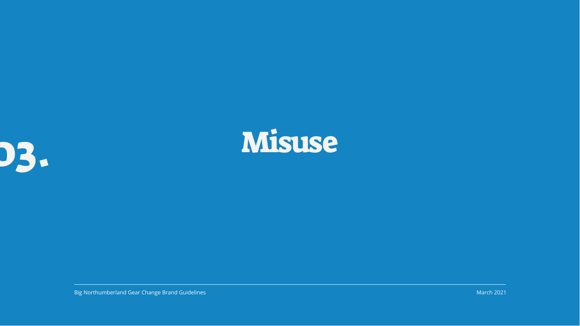



Big Northumberland Gear Change Brand Guidelines March 2021 and Suite Annual Communication of the March 2021 and March 2021

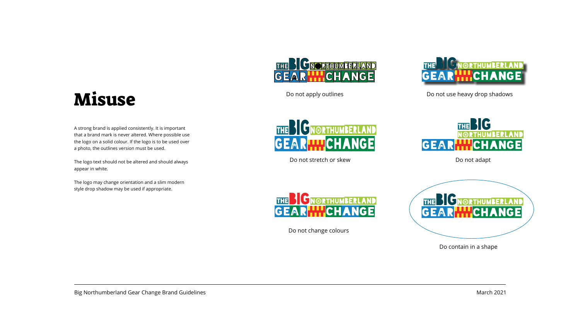



Do not apply outlines **Do not use heavy drop shadows** 



Do not stretch or skew Do not adapt





## Misuse

A strong brand is applied consistently. It is important that a brand mark is never altered. Where possible use the logo on a solid colour. If the logo is to be used over a photo, the outlines version must be used.

The logo text should not be altered and should always appear in white.

The logo may change orientation and a slim modern style drop shadow may be used if appropriate.

Do contain in a shape

Do not change colours

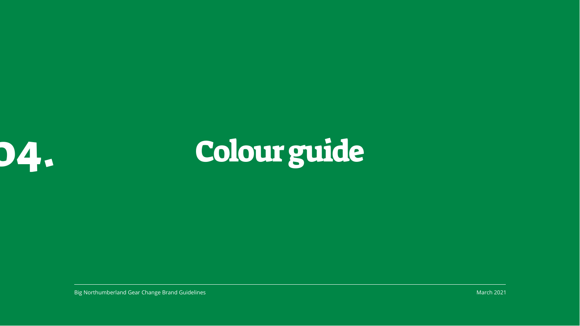



Big Northumberland Gear Change Brand Guidelines March 2021

04. Colour guide